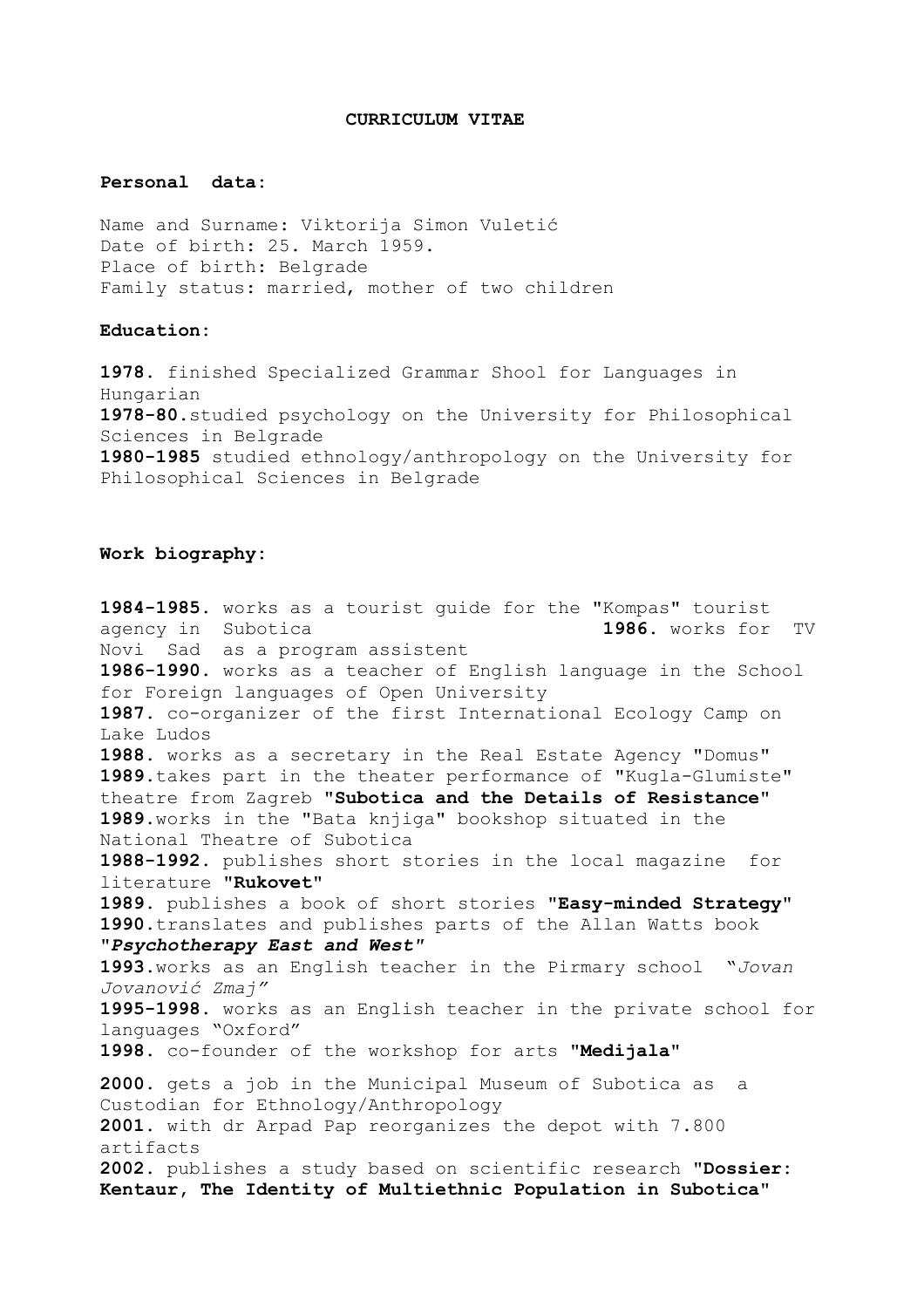## **CURRICULUM VITAE**

## **Personal data:**

Name and Surname: Viktorija Simon Vuletić Date of birth: 25. March 1959. Place of birth: Belgrade Family status: married, mother of two children

## **Education:**

**1978**. finished Specialized Grammar Shool for Languages in Hungarian **1978-80**.studied psychology on the University for Philosophical Sciences in Belgrade **1980-1985** studied ethnology/anthropology on the University for Philosophical Sciences in Belgrade

## **Work biography:**

**1984-1985.** works as a tourist guide for the "Kompas" tourist agency in Subotica **1986.** works for TV Novi Sad as a program assistent **1986-1990**. works as a teacher of English language in the School for Foreign languages of Open University **1987.** co-organizer of the first International Ecology Camp on Lake Ludos **1988.** works as a secretary in the Real Estate Agency "Domus" **1989.**takes part in the theater performance of "Kugla-Glumiste" theatre from Zagreb **"Subotica and the Details of Resistance" 1989**.works in the "Bata knjiga" bookshop situated in the National Theatre of Subotica **1988-1992.** publishes short stories in the local magazine for literature **"Rukovet" 1989.** publishes a book of short stories **"Easy-minded Strategy" 1990.**translates and publishes parts of the Allan Watts book **"***Psychotherapy East and West"* **1993.**works as an English teacher in the Pirmary school "*Jovan Jovanović Zmaj"* **1995-1998.** works as an English teacher in the private school for languages "Oxford" **1998**. co-founder of the workshop for arts **"Medijala" 2000.** gets a job in the Municipal Museum of Subotica as a Custodian for Ethnology/Anthropology **2001**. with dr Arpad Pap reorganizes the depot with 7.800 artifacts **2002.** publishes a study based on scientific research **"Dossier: Kentaur, The Identity of Multiethnic Population in Subotica"**